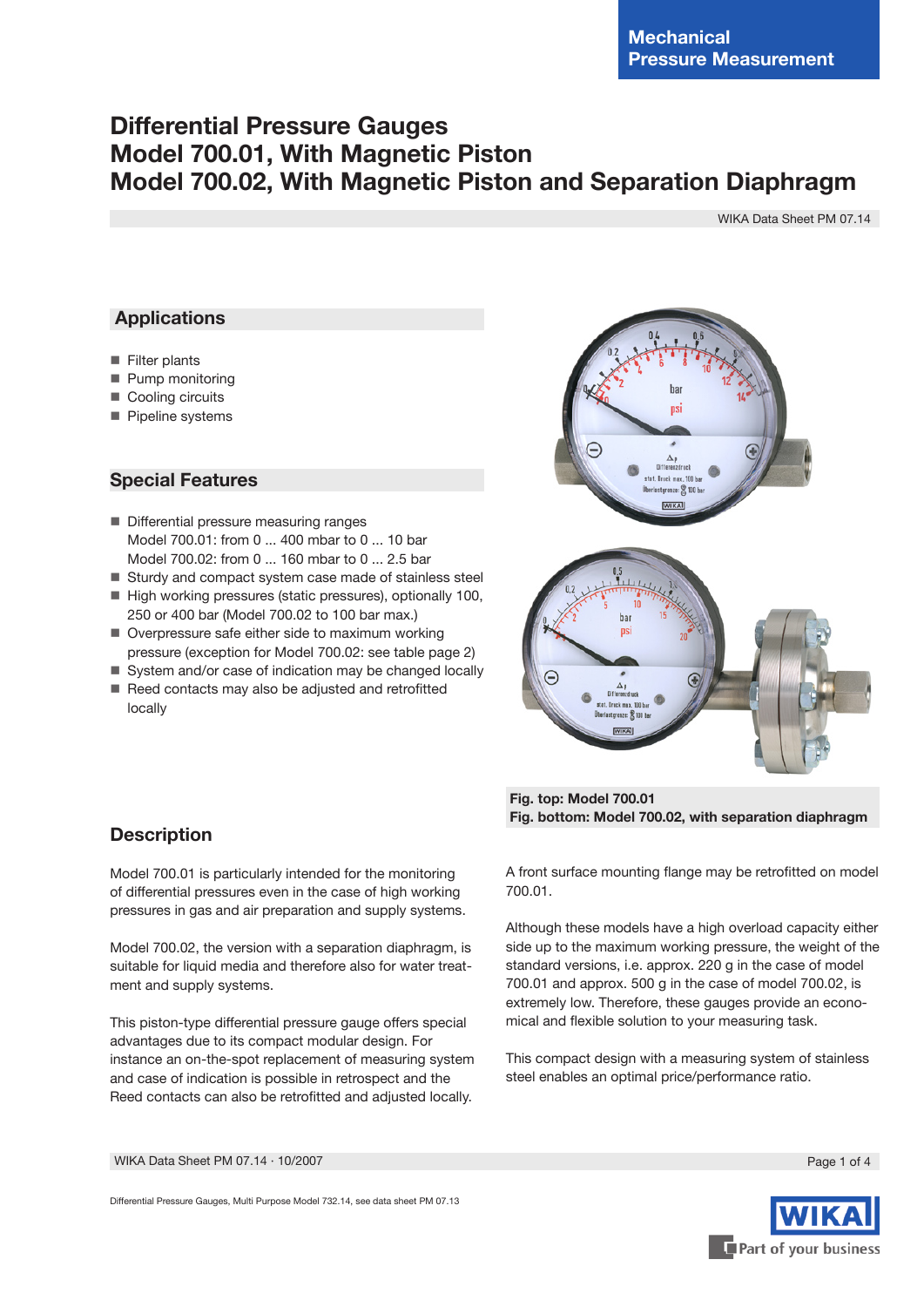# **Differential Pressure Gauges Model 700.01, With Magnetic Piston Model 700.02, With Magnetic Piston and Separation Diaphragm**

WIKA Data Sheet PM 07.14

# **Applications**

- Filter plants
- **Pump monitoring**
- Cooling circuits
- Pipeline systems

## **Special Features**

- Differential pressure measuring ranges Model 700.01: from 0 ... 400 mbar to 0 ... 10 bar Model 700.02: from 0 ... 160 mbar to 0 ... 2.5 bar
- Sturdy and compact system case made of stainless steel
- High working pressures (static pressures), optionally 100, 250 or 400 bar (Model 700.02 to 100 bar max.)
- Overpressure safe either side to maximum working pressure (exception for Model 700.02: see table page 2)
- System and/or case of indication may be changed locally Reed contacts may also be adjusted and retrofitted
- locally



 **Fig. top: Model 700.01 Fig. bottom: Model 700.02, with separation diaphragm**

A front surface mounting flange may be retrofitted on model 700.01.

Although these models have a high overload capacity either side up to the maximum working pressure, the weight of the standard versions, i.e. approx. 220 g in the case of model 700.01 and approx. 500 g in the case of model 700.02, is extremely low. Therefore, these gauges provide an economical and flexible solution to your measuring task.

This compact design with a measuring system of stainless steel enables an optimal price/performance ratio.

# **Description**

Model 700.01 is particularly intended for the monitoring of differential pressures even in the case of high working pressures in gas and air preparation and supply systems.

Model 700.02, the version with a separation diaphragm, is suitable for liquid media and therefore also for water treatment and supply systems.

This piston-type differential pressure gauge offers special advantages due to its compact modular design. For instance an on-the-spot replacement of measuring system and case of indication is possible in retrospect and the Reed contacts can also be retrofitted and adjusted locally.

WIKA Data Sheet PM 07.14 ∙ 10/2007 Page 1 of 4

Differential Pressure Gauges, Multi Purpose Model 732.14, see data sheet PM 07.13

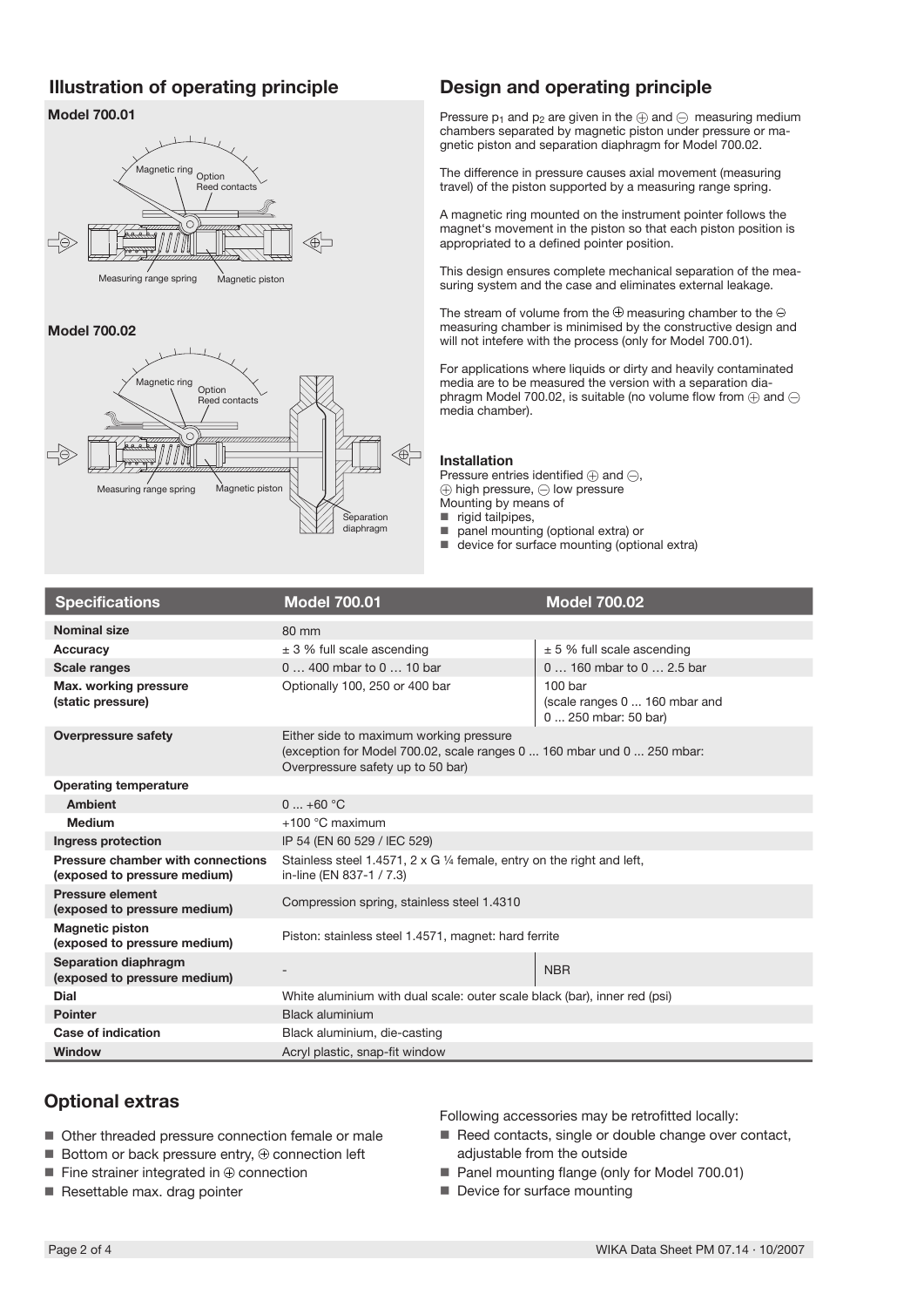# **Illustration of operating principle Design and operating principle**

## **Model 700.01**



### **Model 700.02**



Pressure  $p_1$  and  $p_2$  are given in the  $\oplus$  and  $\ominus$  measuring medium chambers separated by magnetic piston under pressure or magnetic piston and separation diaphragm for Model 700.02.

The difference in pressure causes axial movement (measuring travel) of the piston supported by a measuring range spring.

A magnetic ring mounted on the instrument pointer follows the magnet's movement in the piston so that each piston position is appropriated to a defined pointer position.

This design ensures complete mechanical separation of the measuring system and the case and eliminates external leakage.

The stream of volume from the  $\oplus$  measuring chamber to the  $\ominus$ measuring chamber is minimised by the constructive design and will not intefere with the process (only for Model 700.01).

For applications where liquids or dirty and heavily contaminated media are to be measured the version with a separation diaphragm Model 700.02, is suitable (no volume flow from  $\oplus$  and  $\ominus$ media chamber).

#### **Installation**

Pressure entries identified  $\oplus$  and  $\ominus$ ,  $\oplus$  high pressure,  $\ominus$  low pressure Mounting by means of

■ rigid tailpipes,

- panel mounting (optional extra) or ш
- device for surface mounting (optional extra)

| <b>Specifications</b>                                             | <b>Model 700.01</b>                                                                                                                                    | <b>Model 700.02</b>                                                         |  |
|-------------------------------------------------------------------|--------------------------------------------------------------------------------------------------------------------------------------------------------|-----------------------------------------------------------------------------|--|
| <b>Nominal size</b>                                               | 80 mm                                                                                                                                                  |                                                                             |  |
| Accuracy                                                          | $\pm$ 3 % full scale ascending                                                                                                                         | $± 5$ % full scale ascending                                                |  |
| <b>Scale ranges</b>                                               | 0  400 mbar to 0  10 bar                                                                                                                               | 0  160 mbar to 0  2.5 bar                                                   |  |
| Max. working pressure<br>(static pressure)                        | Optionally 100, 250 or 400 bar                                                                                                                         | 100 <sub>bar</sub><br>(scale ranges 0  160 mbar and<br>0  250 mbar: 50 bar) |  |
| <b>Overpressure safety</b>                                        | Either side to maximum working pressure<br>(exception for Model 700.02, scale ranges 0  160 mbar und 0  250 mbar:<br>Overpressure safety up to 50 bar) |                                                                             |  |
| <b>Operating temperature</b>                                      |                                                                                                                                                        |                                                                             |  |
| <b>Ambient</b>                                                    | $0+60$ °C                                                                                                                                              |                                                                             |  |
| <b>Medium</b>                                                     | $+100$ °C maximum                                                                                                                                      |                                                                             |  |
| Ingress protection                                                | IP 54 (EN 60 529 / IEC 529)                                                                                                                            |                                                                             |  |
| Pressure chamber with connections<br>(exposed to pressure medium) | Stainless steel 1.4571, 2 x G 1/4 female, entry on the right and left,<br>in-line (EN 837-1 / 7.3)                                                     |                                                                             |  |
| Pressure element<br>(exposed to pressure medium)                  | Compression spring, stainless steel 1.4310                                                                                                             |                                                                             |  |
| <b>Magnetic piston</b><br>(exposed to pressure medium)            | Piston: stainless steel 1.4571, magnet: hard ferrite                                                                                                   |                                                                             |  |
| Separation diaphragm<br>(exposed to pressure medium)              |                                                                                                                                                        | <b>NBR</b>                                                                  |  |
| Dial                                                              | White aluminium with dual scale: outer scale black (bar), inner red (psi)                                                                              |                                                                             |  |
| <b>Pointer</b>                                                    | Black aluminium                                                                                                                                        |                                                                             |  |
| Case of indication                                                | Black aluminium, die-casting                                                                                                                           |                                                                             |  |
| Window                                                            | Acryl plastic, snap-fit window                                                                                                                         |                                                                             |  |

# **Optional extras**

- Other threaded pressure connection female or male
- $\blacksquare$  Bottom or back pressure entry,  $\oplus$  connection left
- $\blacksquare$  Fine strainer integrated in  $\oplus$  connection
- Resettable max. drag pointer

Following accessories may be retrofitted locally:

- Reed contacts, single or double change over contact, adjustable from the outside
- Panel mounting flange (only for Model 700.01)
- Device for surface mounting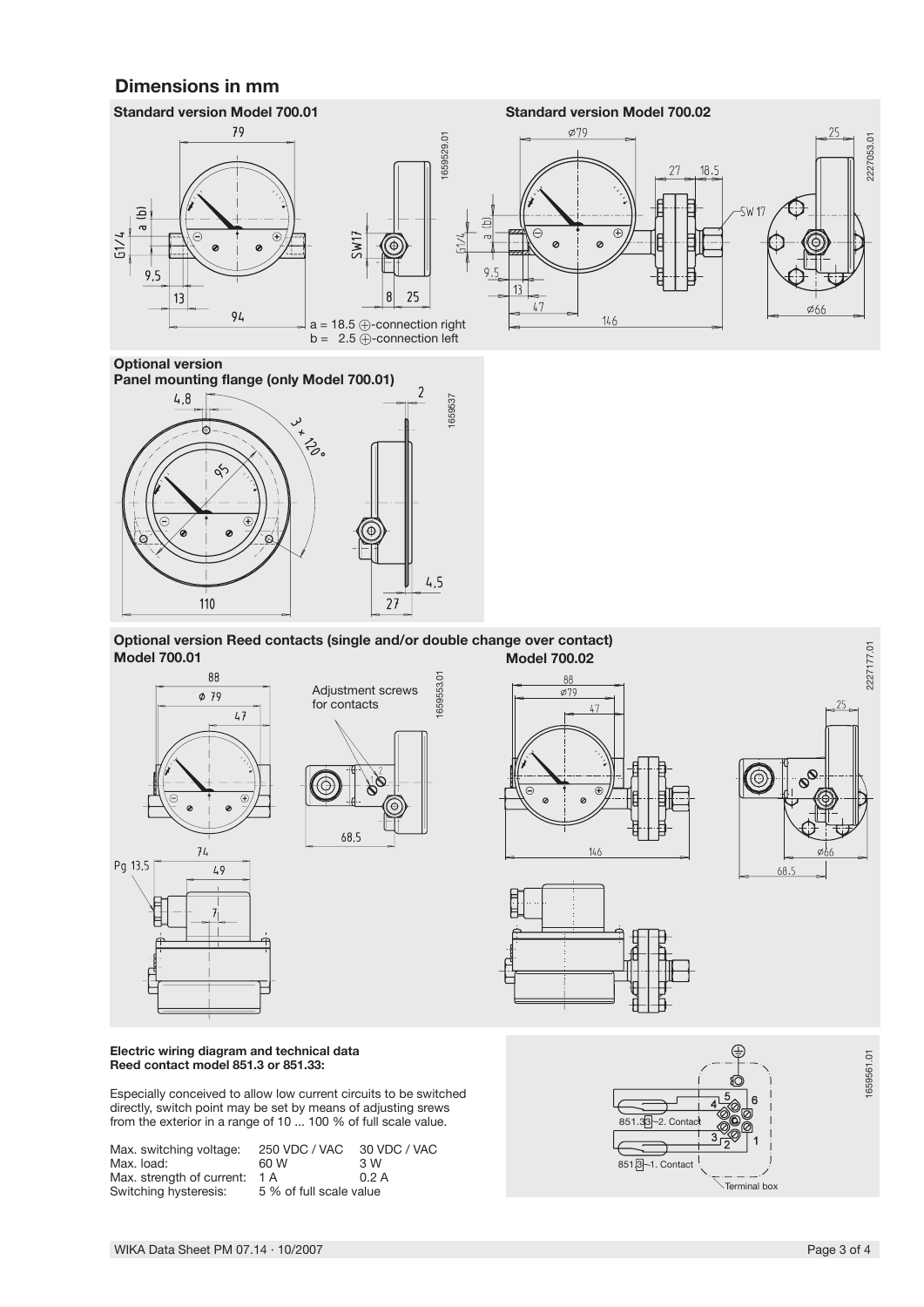# **Dimensions in mm**





 **Optional version Reed contacts (single and/or double change over contact) Model 700.01 Model 700.02**













**Electric wiring diagram and technical data Reed contact model 851.3 or 851.33:**

Especially conceived to allow low current circuits to be switched directly, switch point may be set by means of adjusting srews from the exterior in a range of 10 ... 100 % of full scale value.

| Max. switching voltage:<br>Max. load: | 250 VDC / VAC<br>60 W   | 30 VDC / VAC<br>3 W |
|---------------------------------------|-------------------------|---------------------|
| Max. strength of current:             | 1 A                     | 0.2A                |
| Switching hysteresis:                 | 5 % of full scale value |                     |



WIKA Data Sheet PM 07.14 ∙ 10/2007 Page 3 of 4

1659561.01